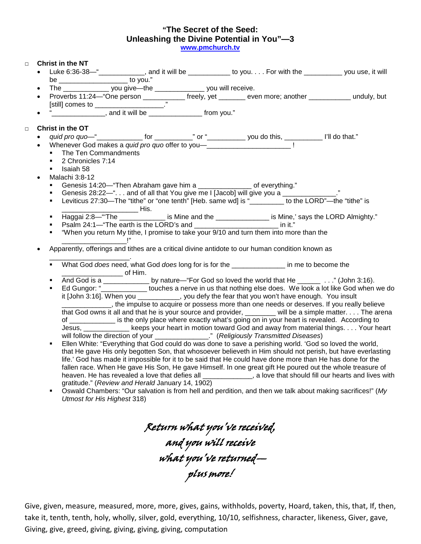## **"The Secret of the Seed: Unleashing the Divine Potential in You"—3**

www.pmchurch.tv

| $\Box$ |           | <b>Christ in the NT</b>                                                                                                                                                                                                                 |                                                                             |  |                                                                                             |                                                                                                                                                                                                                                |  |
|--------|-----------|-----------------------------------------------------------------------------------------------------------------------------------------------------------------------------------------------------------------------------------------|-----------------------------------------------------------------------------|--|---------------------------------------------------------------------------------------------|--------------------------------------------------------------------------------------------------------------------------------------------------------------------------------------------------------------------------------|--|
|        | $\bullet$ |                                                                                                                                                                                                                                         |                                                                             |  |                                                                                             |                                                                                                                                                                                                                                |  |
|        |           | be _________________________ to you."                                                                                                                                                                                                   |                                                                             |  |                                                                                             |                                                                                                                                                                                                                                |  |
|        | $\bullet$ | The _______________ you give--the _______________ you will receive.                                                                                                                                                                     |                                                                             |  |                                                                                             |                                                                                                                                                                                                                                |  |
|        |           |                                                                                                                                                                                                                                         |                                                                             |  |                                                                                             | Proverbs 11:24—"One person _____________ freely, yet ________ even more; another ____________ unduly, but                                                                                                                      |  |
|        |           | [still] comes to __________________"                                                                                                                                                                                                    |                                                                             |  |                                                                                             |                                                                                                                                                                                                                                |  |
|        | $\bullet$ | " <u> </u> and it will be <u> and it will be</u> succonomial and it will be a <b>(b) (b) (b) (b) (b) (b) (b) (b) (b) (b) (b) (b) (b) (b) (b) (b) (b) (b) (b) (b) (b) (b) (b) (b) (b) </b>                                               |                                                                             |  |                                                                                             |                                                                                                                                                                                                                                |  |
|        |           | Christ in the OT                                                                                                                                                                                                                        |                                                                             |  |                                                                                             |                                                                                                                                                                                                                                |  |
| $\Box$ |           |                                                                                                                                                                                                                                         |                                                                             |  |                                                                                             |                                                                                                                                                                                                                                |  |
|        | $\bullet$ | Whenever God makes a quid pro quo offer to you-<br><u> letter</u> into the same and the same and the same of the same and the same and the same same in the same same is<br>defined as a same of the same same is a same of the same of |                                                                             |  |                                                                                             | quid pro quo-" Contract of Contract of Contract of Contract of Contract of Contract of Contract of Contract of Contract of Contract of Contract of Contract of Contract of Contract of Contract of Contract of Contract of Con |  |
|        |           | $\blacksquare$                                                                                                                                                                                                                          | The Ten Commandments                                                        |  |                                                                                             |                                                                                                                                                                                                                                |  |
|        |           | 2 Chronicles 7:14<br>$\blacksquare$                                                                                                                                                                                                     |                                                                             |  |                                                                                             |                                                                                                                                                                                                                                |  |
|        |           | <b>Isaiah 58</b>                                                                                                                                                                                                                        |                                                                             |  |                                                                                             |                                                                                                                                                                                                                                |  |
|        | $\bullet$ | Malachi 3:8-12                                                                                                                                                                                                                          |                                                                             |  |                                                                                             |                                                                                                                                                                                                                                |  |
|        |           | ٠                                                                                                                                                                                                                                       | Genesis 14:20—"Then Abraham gave him a ______________ of everything."       |  |                                                                                             |                                                                                                                                                                                                                                |  |
|        |           | ٠                                                                                                                                                                                                                                       |                                                                             |  | Genesis 28:22-" and of all that You give me I [Jacob] will give you a ____________."        |                                                                                                                                                                                                                                |  |
|        |           | $\blacksquare$                                                                                                                                                                                                                          |                                                                             |  |                                                                                             | Leviticus 27:30-The "tithe" or "one tenth" [Heb. same wd] is "________ to the LORD"-the "tithe" is                                                                                                                             |  |
|        |           |                                                                                                                                                                                                                                         |                                                                             |  |                                                                                             |                                                                                                                                                                                                                                |  |
|        |           | $\blacksquare$                                                                                                                                                                                                                          |                                                                             |  |                                                                                             | Haggai 2:8-"The _____________ is Mine and the _______________ is Mine,' says the LORD Almighty."                                                                                                                               |  |
|        |           | $\blacksquare$                                                                                                                                                                                                                          | Psalm 24:1-"The earth is the LORD's and ___________________________ in it." |  |                                                                                             |                                                                                                                                                                                                                                |  |
|        |           | $\blacksquare$                                                                                                                                                                                                                          |                                                                             |  | "When you return My tithe, I promise to take your 9/10 and turn them into more than the     |                                                                                                                                                                                                                                |  |
|        |           | Apparently, offerings and tithes are a critical divine antidote to our human condition known as                                                                                                                                         |                                                                             |  |                                                                                             |                                                                                                                                                                                                                                |  |
|        |           |                                                                                                                                                                                                                                         |                                                                             |  |                                                                                             |                                                                                                                                                                                                                                |  |
|        |           | $\blacksquare$                                                                                                                                                                                                                          | <u>________________________</u> of Him.                                     |  | What God does need, what God does long for is for the _________________ in me to become the |                                                                                                                                                                                                                                |  |
|        |           | $\blacksquare$                                                                                                                                                                                                                          |                                                                             |  |                                                                                             | And God is a ______________ by nature—"For God so loved the world that He _________" (John 3:16).                                                                                                                              |  |
|        |           | $\blacksquare$                                                                                                                                                                                                                          |                                                                             |  |                                                                                             | Ed Gungor: "_______________ touches a nerve in us that nothing else does. We look a lot like God when we do                                                                                                                    |  |
|        |           |                                                                                                                                                                                                                                         |                                                                             |  |                                                                                             | it [John 3:16]. When you __________, you defy the fear that you won't have enough. You insult                                                                                                                                  |  |
|        |           |                                                                                                                                                                                                                                         |                                                                             |  |                                                                                             | the impulse to acquire or possess more than one needs or deserves. If you really believe                                                                                                                                       |  |
|        |           |                                                                                                                                                                                                                                         |                                                                             |  |                                                                                             | that God owns it all and that he is your source and provider, _______ will be a simple matter. The arena                                                                                                                       |  |
|        |           |                                                                                                                                                                                                                                         |                                                                             |  |                                                                                             | of _____________ is the only place where exactly what's going on in your heart is revealed. According to                                                                                                                       |  |
|        |           |                                                                                                                                                                                                                                         |                                                                             |  | will follow the direction of your ________________." (Religiously Transmitted Diseases)     | Jesus, ______________keeps your heart in motion toward God and away from material things. Your heart                                                                                                                           |  |
|        |           | $\blacksquare$                                                                                                                                                                                                                          |                                                                             |  |                                                                                             | Ellen White: "Everything that God could do was done to save a perishing world. 'God so loved the world,                                                                                                                        |  |
|        |           |                                                                                                                                                                                                                                         |                                                                             |  |                                                                                             | that He gave His only begotten Son, that whosoever believeth in Him should not perish, but have everlasting                                                                                                                    |  |
|        |           |                                                                                                                                                                                                                                         |                                                                             |  |                                                                                             | life.' God has made it impossible for it to be said that He could have done more than He has done for the                                                                                                                      |  |
|        |           |                                                                                                                                                                                                                                         |                                                                             |  |                                                                                             | fallen race. When He gave His Son, He gave Himself. In one great gift He poured out the whole treasure of                                                                                                                      |  |
|        |           |                                                                                                                                                                                                                                         |                                                                             |  |                                                                                             | heaven. He has revealed a love that defies all _____________, a love that should fill our hearts and lives with                                                                                                                |  |
|        |           |                                                                                                                                                                                                                                         | gratitude." (Review and Herald January 14, 1902)                            |  |                                                                                             |                                                                                                                                                                                                                                |  |
|        |           | $\blacksquare$                                                                                                                                                                                                                          |                                                                             |  |                                                                                             | Oswald Chambers: "Our salvation is from hell and perdition, and then we talk about making sacrifices!" (My                                                                                                                     |  |
|        |           |                                                                                                                                                                                                                                         | Utmost for His Highest 318)                                                 |  |                                                                                             |                                                                                                                                                                                                                                |  |
|        |           |                                                                                                                                                                                                                                         |                                                                             |  |                                                                                             |                                                                                                                                                                                                                                |  |

Return what you've received, and you will receive what you've returned plus more!

Give, given, measure, measured, more, more, gives, gains, withholds, poverty, Hoard, taken, this, that, If, then, take it, tenth, tenth, holy, wholly, silver, gold, everything, 10/10, selfishness, character, likeness, Giver, gave, Giving, give, greed, giving, giving, giving, giving, computation